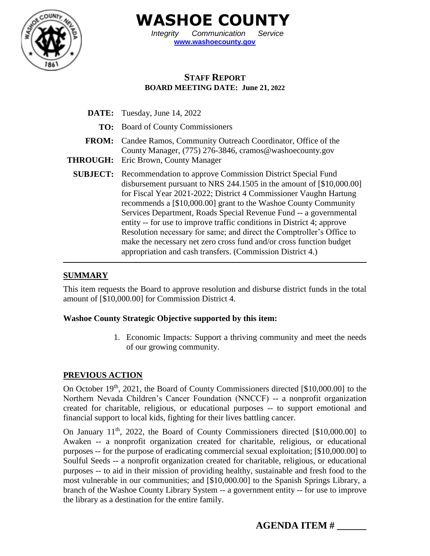

**WASHOE COUNTY**

*Integrity Communication Service* **[www.washoecounty.gov](http://www.washoecounty.gov/)**

# **STAFF REPORT BOARD MEETING DATE: June 21, 2022**

**DATE:** Tuesday, June 14, 2022 **TO:** Board of County Commissioners **FROM:** Candee Ramos, Community Outreach Coordinator, Office of the County Manager, (775) 276-3846, [cramos@washoecounty.gov](mailto:cramos@washoecounty.gov) **THROUGH:** Eric Brown, County Manager **SUBJECT:** Recommendation to approve Commission District Special Fund disbursement pursuant to NRS 244.1505 in the amount of [\$10,000.00] for Fiscal Year 2021-2022; District 4 Commissioner Vaughn Hartung recommends a [\$10,000.00] grant to the Washoe County Community Services Department, Roads Special Revenue Fund -- a governmental entity -- for use to improve traffic conditions in District 4; approve Resolution necessary for same; and direct the Comptroller's Office to make the necessary net zero cross fund and/or cross function budget appropriation and cash transfers. (Commission District 4.)

#### **SUMMARY**

This item requests the Board to approve resolution and disburse district funds in the total amount of [\$10,000.00] for Commission District 4.

#### **Washoe County Strategic Objective supported by this item:**

1. Economic Impacts: Support a thriving community and meet the needs of our growing community.

#### **PREVIOUS ACTION**

On October 19<sup>th</sup>, 2021, the Board of County Commissioners directed [\$10,000.00] to the Northern Nevada Children's Cancer Foundation (NNCCF) -- a nonprofit organization created for charitable, religious, or educational purposes -- to support emotional and financial support to local kids, fighting for their lives battling cancer.

On January  $11<sup>th</sup>$ , 2022, the Board of County Commissioners directed [\$10,000.00] to Awaken -- a nonprofit organization created for charitable, religious, or educational purposes -- for the purpose of eradicating commercial sexual exploitation; [\$10,000.00] to Soulful Seeds -- a nonprofit organization created for charitable, religious, or educational purposes -- to aid in their mission of providing healthy, sustainable and fresh food to the most vulnerable in our communities; and [\$10,000.00] to the Spanish Springs Library, a branch of the Washoe County Library System -- a government entity -- for use to improve the library as a destination for the entire family.

**AGENDA ITEM # \_\_\_\_\_\_**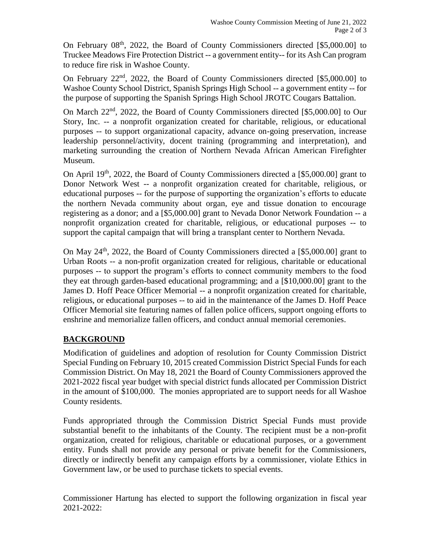On February  $08<sup>th</sup>$ , 2022, the Board of County Commissioners directed [\$5,000.00] to Truckee Meadows Fire Protection District -- a government entity-- for its Ash Can program to reduce fire risk in Washoe County.

On February  $22<sup>nd</sup>$ ,  $2022$ , the Board of County Commissioners directed [\$5,000.00] to Washoe County School District, Spanish Springs High School -- a government entity -- for the purpose of supporting the Spanish Springs High School JROTC Cougars Battalion.

On March 22<sup>nd</sup>, 2022, the Board of County Commissioners directed [\$5,000.00] to Our Story, Inc. -- a nonprofit organization created for charitable, religious, or educational purposes -- to support organizational capacity, advance on-going preservation, increase leadership personnel/activity, docent training (programming and interpretation), and marketing surrounding the creation of Northern Nevada African American Firefighter Museum.

On April  $19<sup>th</sup>$ , 2022, the Board of County Commissioners directed a [\$5,000.00] grant to Donor Network West -- a nonprofit organization created for charitable, religious, or educational purposes -- for the purpose of supporting the organization's efforts to educate the northern Nevada community about organ, eye and tissue donation to encourage registering as a donor; and a [\$5,000.00] grant to Nevada Donor Network Foundation -- a nonprofit organization created for charitable, religious, or educational purposes -- to support the capital campaign that will bring a transplant center to Northern Nevada.

On May 24th, 2022, the Board of County Commissioners directed a [\$5,000.00] grant to Urban Roots -- a non-profit organization created for religious, charitable or educational purposes -- to support the program's efforts to connect community members to the food they eat through garden-based educational programming; and a [\$10,000.00] grant to the James D. Hoff Peace Officer Memorial -- a nonprofit organization created for charitable, religious, or educational purposes -- to aid in the maintenance of the James D. Hoff Peace Officer Memorial site featuring names of fallen police officers, support ongoing efforts to enshrine and memorialize fallen officers, and conduct annual memorial ceremonies.

## **BACKGROUND**

Modification of guidelines and adoption of resolution for County Commission District Special Funding on February 10, 2015 created Commission District Special Funds for each Commission District. On May 18, 2021 the Board of County Commissioners approved the 2021-2022 fiscal year budget with special district funds allocated per Commission District in the amount of \$100,000. The monies appropriated are to support needs for all Washoe County residents.

Funds appropriated through the Commission District Special Funds must provide substantial benefit to the inhabitants of the County. The recipient must be a non-profit organization, created for religious, charitable or educational purposes, or a government entity. Funds shall not provide any personal or private benefit for the Commissioners, directly or indirectly benefit any campaign efforts by a commissioner, violate Ethics in Government law, or be used to purchase tickets to special events.

Commissioner Hartung has elected to support the following organization in fiscal year 2021-2022: